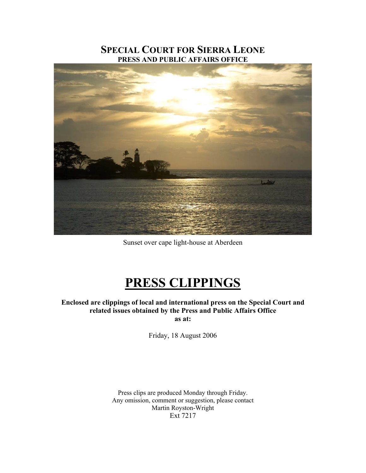## **SPECIAL COURT FOR SIERRA LEONE PRESS AND PUBLIC AFFAIRS OFFICE**



Sunset over cape light-house at Aberdeen

## **PRESS CLIPPINGS**

**Enclosed are clippings of local and international press on the Special Court and related issues obtained by the Press and Public Affairs Office as at:** 

Friday, 18 August 2006

Press clips are produced Monday through Friday. Any omission, comment or suggestion, please contact Martin Royston-Wright Ext 7217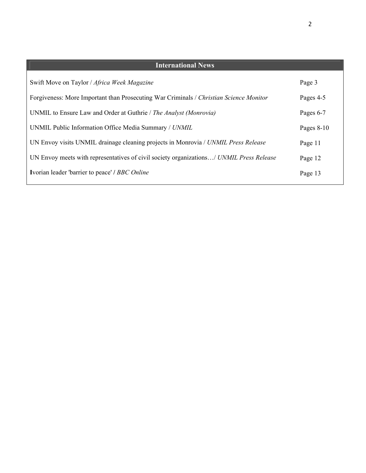| <b>International News</b>                                                               |              |
|-----------------------------------------------------------------------------------------|--------------|
| Swift Move on Taylor / Africa Week Magazine                                             | Page 3       |
| Forgiveness: More Important than Prosecuting War Criminals / Christian Science Monitor  | Pages 4-5    |
| UNMIL to Ensure Law and Order at Guthrie / The Analyst (Monrovia)                       | Pages 6-7    |
| UNMIL Public Information Office Media Summary / UNMIL                                   | Pages $8-10$ |
| UN Envoy visits UNMIL drainage cleaning projects in Monrovia / UNMIL Press Release      | Page 11      |
| UN Envoy meets with representatives of civil society organizations/ UNMIL Press Release | Page 12      |
| Ivorian leader 'barrier to peace' / BBC Online                                          | Page 13      |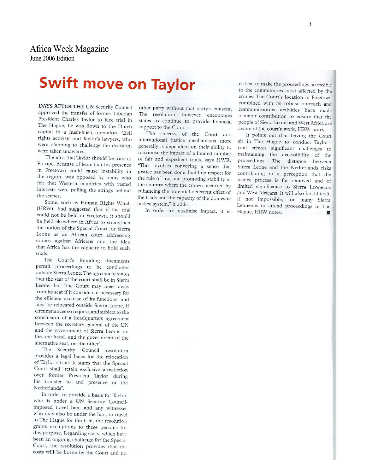## **Swift move on Taylor**

DAYS AFTER THE UN Security Council approved the transfer of former Liberian President Charles Taylor to face trial in The Hague, he was flown to the Dutch capital in a hush-hush operation. Civil rights activists and Taylor's lawyers, who were planning to challenge the decision, were taken unawares.

The idea that Taylor should be tried in Europe, because of fears that his presence in Freetown could cause instability in the region, was opposed by many who felt that Western countries with vested interests were pulling the strings behind the scenes.

Some, such as Human Rights Watch (HRW), had suggested that if the trial could not be held in Freetown, it should be held elsewhere in Africa to strengthen the notion of the Special Court for Sierra Leone as an African court addressing crimes against Africans and the idea that Africa has the capacity to hold such trials.

The Court's founding documents permit proceedings to be conducted outside Sierra Leone. The agreement states that the seat of the court shall be in Sierra Leone, but "the Court may meet away from its seat if it considers it necessary for the efficient exercise of its functions, and may be relocated outside Sierra Leone, if circumstances so require, and subject to the conclusion of a headquarters agreement between the secretary general of the UN and the government of Sierra Leone, on the one hand, and the government of the alternative seat, on the other".

The Security Council resolution provides a legal basis for the relocation of Taylor's trial. It states that the Special Court shall "retain exclusive jurisdiction over former President Taylor during his transfer to and presence in the Netherlands".

In order to provide a basis for Taylor, who is under a UN Security Councilimposed travel ban, and any witnesses who may also be under the ban, to travel to The Hague for the trial, the resolution grants exemptions to these persons for this purpose. Regarding costs, which have been an ongoing challenge for the Special Court, the resolution provides that the costs will be borne by the Court and no

other party without that party's consent. The resolution, however, encourages states to continue to provide financial support to the Court

The success of the Court and international justice mechanisms more generally is dependent on their ability to maximise the impact of a limited number of fair and expedient trials, says HWR. "This involves conveying a sense that justice has been done, building respect for the rule of law, and promoting stability in the country where the crimes occurred by enhancing the potential deterrent effect of the trials and the capacity of the domestic justice system," it adds.

In order to maximise impact, it is

critical to make the proceedings accessible to the communities most affected by the crimes. The Court's location in Freetown combined with its robust outreach and communications activities have made a major contribution to ensure that the people of Sierra Leone and West Africa are aware of the court's work, HRW notes.

It points out that having the Court sit in The Hague to conduct Taylor's trial creates significant challenges to maintaining the accessibility of the proceedings. The distance between Sierra Leone and the Netherlands risks contributing to a perception that the justice process is far removed and of limited significance to Sierra Leoneans and West Africans. It will also be difficult, if not impossible, for many Sierra Leoneans to attend proceedings in The Hague, HRW notes. 厦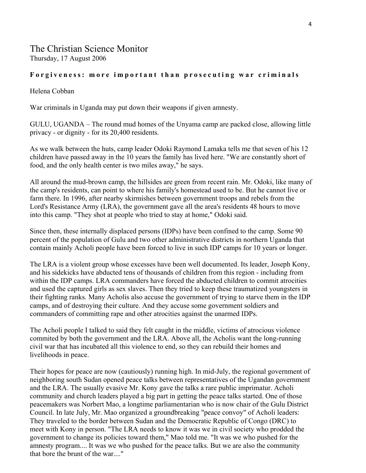### The Christian Science Monitor Thursday, 17 August 2006

#### **Forgiveness: more important than prosecuting war criminals**

#### Helena Cobban

War criminals in Uganda may put down their weapons if given amnesty.

GULU, UGANDA – The round mud homes of the Unyama camp are packed close, allowing little privacy - or dignity - for its 20,400 residents.

As we walk between the huts, camp leader Odoki Raymond Lamaka tells me that seven of his 12 children have passed away in the 10 years the family has lived here. "We are constantly short of food, and the only health center is two miles away," he says.

All around the mud-brown camp, the hillsides are green from recent rain. Mr. Odoki, like many of the camp's residents, can point to where his family's homestead used to be. But he cannot live or farm there. In 1996, after nearby skirmishes between government troops and rebels from the Lord's Resistance Army (LRA), the government gave all the area's residents 48 hours to move into this camp. "They shot at people who tried to stay at home," Odoki said.

Since then, these internally displaced persons (IDPs) have been confined to the camp. Some 90 percent of the population of Gulu and two other administrative districts in northern Uganda that contain mainly Acholi people have been forced to live in such IDP camps for 10 years or longer.

The LRA is a violent group whose excesses have been well documented. Its leader, Joseph Kony, and his sidekicks have abducted tens of thousands of children from this region - including from within the IDP camps. LRA commanders have forced the abducted children to commit atrocities and used the captured girls as sex slaves. Then they tried to keep these traumatized youngsters in their fighting ranks. Many Acholis also accuse the government of trying to starve them in the IDP camps, and of destroying their culture. And they accuse some government soldiers and commanders of committing rape and other atrocities against the unarmed IDPs.

The Acholi people I talked to said they felt caught in the middle, victims of atrocious violence commited by both the government and the LRA. Above all, the Acholis want the long-running civil war that has incubated all this violence to end, so they can rebuild their homes and livelihoods in peace.

Their hopes for peace are now (cautiously) running high. In mid-July, the regional government of neighboring south Sudan opened peace talks between representatives of the Ugandan government and the LRA. The usually evasive Mr. Kony gave the talks a rare public imprimatur. Acholi community and church leaders played a big part in getting the peace talks started. One of those peacemakers was Norbert Mao, a longtime parliamentarian who is now chair of the Gulu District Council. In late July, Mr. Mao organized a groundbreaking "peace convoy" of Acholi leaders: They traveled to the border between Sudan and the Democratic Republic of Congo (DRC) to meet with Kony in person. "The LRA needs to know it was we in civil society who prodded the government to change its policies toward them," Mao told me. "It was we who pushed for the amnesty program.... It was we who pushed for the peace talks. But we are also the community that bore the brunt of the war...."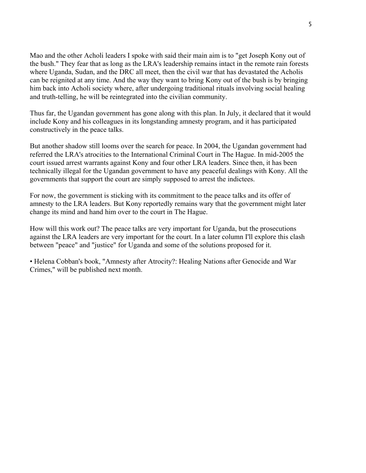Mao and the other Acholi leaders I spoke with said their main aim is to "get Joseph Kony out of the bush." They fear that as long as the LRA's leadership remains intact in the remote rain forests where Uganda, Sudan, and the DRC all meet, then the civil war that has devastated the Acholis can be reignited at any time. And the way they want to bring Kony out of the bush is by bringing him back into Acholi society where, after undergoing traditional rituals involving social healing and truth-telling, he will be reintegrated into the civilian community.

Thus far, the Ugandan government has gone along with this plan. In July, it declared that it would include Kony and his colleagues in its longstanding amnesty program, and it has participated constructively in the peace talks.

But another shadow still looms over the search for peace. In 2004, the Ugandan government had referred the LRA's atrocities to the International Criminal Court in The Hague. In mid-2005 the court issued arrest warrants against Kony and four other LRA leaders. Since then, it has been technically illegal for the Ugandan government to have any peaceful dealings with Kony. All the governments that support the court are simply supposed to arrest the indictees.

For now, the government is sticking with its commitment to the peace talks and its offer of amnesty to the LRA leaders. But Kony reportedly remains wary that the government might later change its mind and hand him over to the court in The Hague.

How will this work out? The peace talks are very important for Uganda, but the prosecutions against the LRA leaders are very important for the court. In a later column I'll explore this clash between "peace" and "justice" for Uganda and some of the solutions proposed for it.

• Helena Cobban's book, "Amnesty after Atrocity?: Healing Nations after Genocide and War Crimes," will be published next month.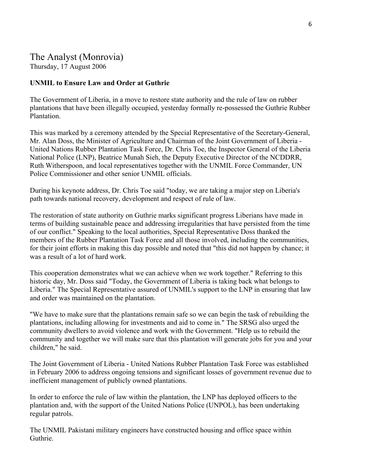## The Analyst (Monrovia) Thursday, 17 August 2006

#### **UNMIL to Ensure Law and Order at Guthrie**

The Government of Liberia, in a move to restore state authority and the rule of law on rubber plantations that have been illegally occupied, yesterday formally re-possessed the Guthrie Rubber Plantation.

This was marked by a ceremony attended by the Special Representative of the Secretary-General, Mr. Alan Doss, the Minister of Agriculture and Chairman of the Joint Government of Liberia - United Nations Rubber Plantation Task Force, Dr. Chris Toe, the Inspector General of the Liberia National Police (LNP), Beatrice Munah Sieh, the Deputy Executive Director of the NCDDRR, Ruth Witherspoon, and local representatives together with the UNMIL Force Commander, UN Police Commissioner and other senior UNMIL officials.

During his keynote address, Dr. Chris Toe said "today, we are taking a major step on Liberia's path towards national recovery, development and respect of rule of law.

The restoration of state authority on Guthrie marks significant progress Liberians have made in terms of building sustainable peace and addressing irregularities that have persisted from the time of our conflict." Speaking to the local authorities, Special Representative Doss thanked the members of the Rubber Plantation Task Force and all those involved, including the communities, for their joint efforts in making this day possible and noted that "this did not happen by chance; it was a result of a lot of hard work.

This cooperation demonstrates what we can achieve when we work together." Referring to this historic day, Mr. Doss said "Today, the Government of Liberia is taking back what belongs to Liberia." The Special Representative assured of UNMIL's support to the LNP in ensuring that law and order was maintained on the plantation.

"We have to make sure that the plantations remain safe so we can begin the task of rebuilding the plantations, including allowing for investments and aid to come in." The SRSG also urged the community dwellers to avoid violence and work with the Government. "Help us to rebuild the community and together we will make sure that this plantation will generate jobs for you and your children," he said.

The Joint Government of Liberia - United Nations Rubber Plantation Task Force was established in February 2006 to address ongoing tensions and significant losses of government revenue due to inefficient management of publicly owned plantations.

In order to enforce the rule of law within the plantation, the LNP has deployed officers to the plantation and, with the support of the United Nations Police (UNPOL), has been undertaking regular patrols.

The UNMIL Pakistani military engineers have constructed housing and office space within Guthrie.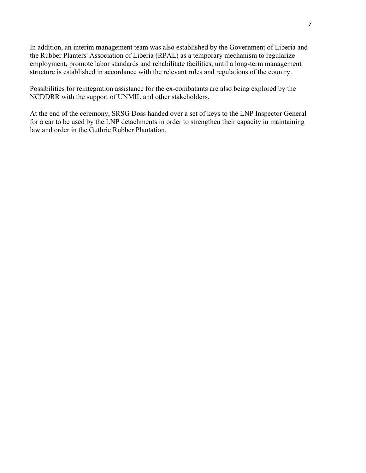In addition, an interim management team was also established by the Government of Liberia and the Rubber Planters' Association of Liberia (RPAL) as a temporary mechanism to regularize employment, promote labor standards and rehabilitate facilities, until a long-term management structure is established in accordance with the relevant rules and regulations of the country.

Possibilities for reintegration assistance for the ex-combatants are also being explored by the NCDDRR with the support of UNMIL and other stakeholders.

At the end of the ceremony, SRSG Doss handed over a set of keys to the LNP Inspector General for a car to be used by the LNP detachments in order to strengthen their capacity in maintaining law and order in the Guthrie Rubber Plantation.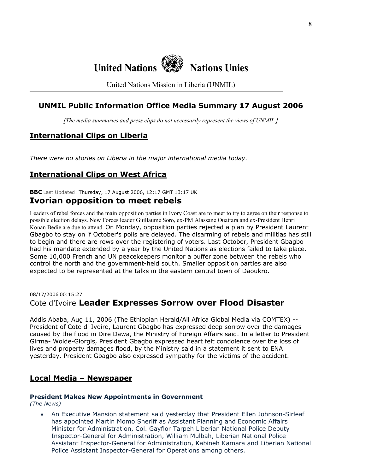

United Nations Mission in Liberia (UNMIL)

## **UNMIL Public Information Office Media Summary 17 August 2006**

*[The media summaries and press clips do not necessarily represent the views of UNMIL.]*

## **International Clips on Liberia**

*There were no stories on Liberia in the major international media today.* 

## **International Clips on West Africa**

**BBC** Last Updated: Thursday, 17 August 2006, 12:17 GMT 13:17 UK

### **Ivorian opposition to meet rebels**

Leaders of rebel forces and the main opposition parties in Ivory Coast are to meet to try to agree on their response to possible election delays. New Forces leader Guillaume Soro, ex-PM Alassane Ouattara and ex-President Henri Konan Bedie are due to attend. On Monday, opposition parties rejected a plan by President Laurent Gbagbo to stay on if October's polls are delayed. The disarming of rebels and militias has still to begin and there are rows over the registering of voters. Last October, President Gbagbo had his mandate extended by a year by the United Nations as elections failed to take place. Some 10,000 French and UN peacekeepers monitor a buffer zone between the rebels who control the north and the government-held south. Smaller opposition parties are also expected to be represented at the talks in the eastern central town of Daoukro.

## 08/17/2006 00:15:27 Cote d'Ivoire **Leader Expresses Sorrow over Flood Disaster**

Addis Ababa, Aug 11, 2006 (The Ethiopian Herald/All Africa Global Media via COMTEX) -- President of Cote d' Ivoire, Laurent Gbagbo has expressed deep sorrow over the damages caused by the flood in Dire Dawa, the Ministry of Foreign Affairs said. In a letter to President Girma- Wolde-Giorgis, President Gbagbo expressed heart felt condolence over the loss of lives and property damages flood, by the Ministry said in a statement it sent to ENA yesterday. President Gbagbo also expressed sympathy for the victims of the accident.

#### **Local Media – Newspaper**

#### **President Makes New Appointments in Government**

*(The News)* 

• An Executive Mansion statement said yesterday that President Ellen Johnson-Sirleaf has appointed Martin Momo Sheriff as Assistant Planning and Economic Affairs Minister for Administration, Col. Gayflor Tarpeh Liberian National Police Deputy Inspector-General for Administration, William Mulbah, Liberian National Police Assistant Inspector-General for Administration, Kabineh Kamara and Liberian National Police Assistant Inspector-General for Operations among others.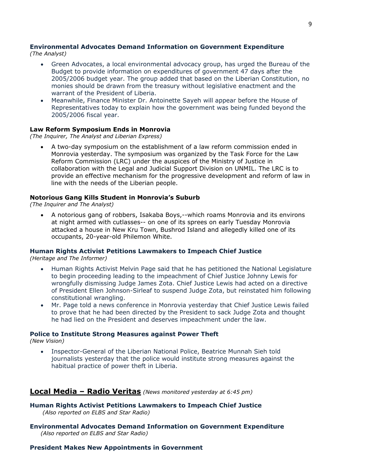## **Environmental Advocates Demand Information on Government Expenditure**

*(The Analyst)* 

- Green Advocates, a local environmental advocacy group, has urged the Bureau of the Budget to provide information on expenditures of government 47 days after the 2005/2006 budget year. The group added that based on the Liberian Constitution, no monies should be drawn from the treasury without legislative enactment and the warrant of the President of Liberia.
- Meanwhile, Finance Minister Dr. Antoinette Sayeh will appear before the House of Representatives today to explain how the government was being funded beyond the 2005/2006 fiscal year.

#### **Law Reform Symposium Ends in Monrovia**

*(The Inquirer, The Analyst and Liberian Express)* 

• A two-day symposium on the establishment of a law reform commission ended in Monrovia yesterday. The symposium was organized by the Task Force for the Law Reform Commission (LRC) under the auspices of the Ministry of Justice in collaboration with the Legal and Judicial Support Division on UNMIL. The LRC is to provide an effective mechanism for the progressive development and reform of law in line with the needs of the Liberian people.

#### **Notorious Gang Kills Student in Monrovia's Suburb**

*(The Inquirer and The Analyst)*

• A notorious gang of robbers, Isakaba Boys,--which roams Monrovia and its environs at night armed with cutlasses-- on one of its sprees on early Tuesday Monrovia attacked a house in New Kru Town, Bushrod Island and allegedly killed one of its occupants, 20-year-old Philemon White.

#### **Human Rights Activist Petitions Lawmakers to Impeach Chief Justice**

*(Heritage and The Informer)*

- Human Rights Activist Melvin Page said that he has petitioned the National Legislature to begin proceeding leading to the impeachment of Chief Justice Johnny Lewis for wrongfully dismissing Judge James Zota. Chief Justice Lewis had acted on a directive of President Ellen Johnson-Sirleaf to suspend Judge Zota, but reinstated him following constitutional wrangling.
- Mr. Page told a news conference in Monrovia yesterday that Chief Justice Lewis failed to prove that he had been directed by the President to sack Judge Zota and thought he had lied on the President and deserves impeachment under the law.

#### **Police to Institute Strong Measures against Power Theft**

*(New Vision)*

• Inspector-General of the Liberian National Police, Beatrice Munnah Sieh told journalists yesterday that the police would institute strong measures against the habitual practice of power theft in Liberia.

#### **Local Media – Radio Veritas** *(News monitored yesterday at 6:45 pm)*

**Human Rights Activist Petitions Lawmakers to Impeach Chief Justice**   *(Also reported on ELBS and Star Radio)* 

**Environmental Advocates Demand Information on Government Expenditure**  *(Also reported on ELBS and Star Radio)* 

#### **President Makes New Appointments in Government**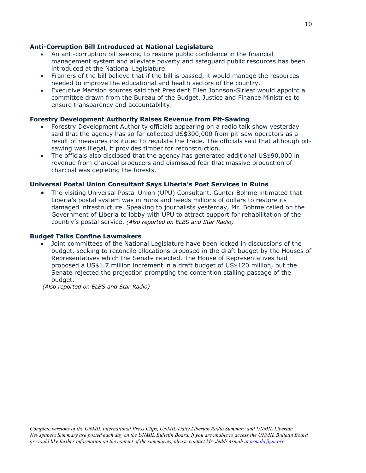#### **Anti-Corruption Bill Introduced at National Legislature**

- An anti-corruption bill seeking to restore public confidence in the financial management system and alleviate poverty and safeguard public resources has been introduced at the National Legislature.
- Framers of the bill believe that if the bill is passed, it would manage the resources needed to improve the educational and health sectors of the country.
- Executive Mansion sources said that President Ellen Johnson-Sirleaf would appoint a committee drawn from the Bureau of the Budget, Justice and Finance Ministries to ensure transparency and accountability.

#### **Forestry Development Authority Raises Revenue from Pit-Sawing**

- Forestry Development Authority officials appearing on a radio talk show yesterday said that the agency has so far collected US\$300,000 from pit-saw operators as a result of measures instituted to regulate the trade. The officials said that although pitsawing was illegal, it provides timber for reconstruction.
- The officials also disclosed that the agency has generated additional US\$90,000 in revenue from charcoal producers and dismissed fear that massive production of charcoal was depleting the forests.

#### **Universal Postal Union Consultant Says Liberia's Post Services in Ruins**

• The visiting Universal Postal Union (UPU) Consultant, Gunter Bohme intimated that Liberia's postal system was in ruins and needs millions of dollars to restore its damaged infrastructure. Speaking to journalists yesterday, Mr. Bohme called on the Government of Liberia to lobby with UPU to attract support for rehabilitation of the country's postal service. *(Also reported on ELBS and Star Radio)*

#### **Budget Talks Confine Lawmakers**

• Joint committees of the National Legislature have been locked in discussions of the budget, seeking to reconcile allocations proposed in the draft budget by the Houses of Representatives which the Senate rejected. The House of Representatives had proposed a US\$1.7 million increment in a draft budget of US\$120 million, but the Senate rejected the projection prompting the contention stalling passage of the budget.

 *(Also reported on ELBS and Star Radio)*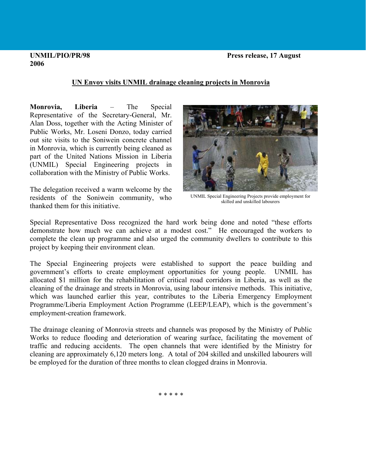## **2006**

## **UN Envoy visits UNMIL drainage cleaning projects in Monrovia**

**Monrovia, Liberia** – The Special Representative of the Secretary-General, Mr. Alan Doss, together with the Acting Minister of Public Works, Mr. Loseni Donzo, today carried out site visits to the Soniwein concrete channel in Monrovia, which is currently being cleaned as part of the United Nations Mission in Liberia (UNMIL) Special Engineering projects in collaboration with the Ministry of Public Works.

thanked them for this initiative. The delegation received a warm welcome by the residents of the Soniwein community, who UNMIL Special Engineering Projects provide employment for



skilled and unskilled labourers

complete the clean up programme and also urged the community dwellers to contribute to this project by keeping their environment clean. Special Representative Doss recognized the hard work being done and noted "these efforts demonstrate how much we can achieve at a modest cost." He encouraged the workers to

Programme/Liberia Employment Action Programme (LEEP/LEAP), which is the government's employment-creation framework. The Special Engineering projects were established to support the peace building and government's efforts to create employment opportunities for young people. UNMIL has allocated \$1 million for the rehabilitation of critical road corridors in Liberia, as well as the cleaning of the drainage and streets in Monrovia, using labour intensive methods. This initiative, which was launched earlier this year, contributes to the Liberia Emergency Employment

cleaning are approximately 6,120 meters long. A total of 204 skilled and unskilled labourers will be employed for the duration of three months to clean clogged drains in Monrovia. The drainage cleaning of Monrovia streets and channels was proposed by the Ministry of Public Works to reduce flooding and deterioration of wearing surface, facilitating the movement of traffic and reducing accidents. The open channels that were identified by the Ministry for

\* \* \* \* \*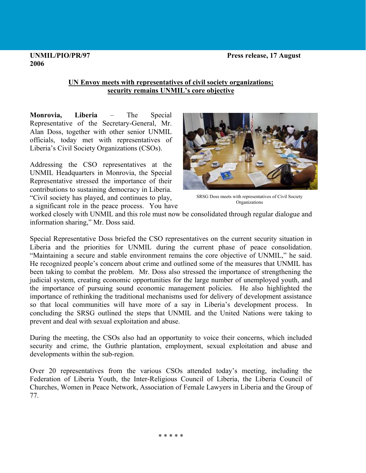#### **UNMIL/PIO/PR/97 Press release, 17 August**

# **2006**

### **UN Envoy meets with representatives of civil society organizations; security remains UNMIL's core objective**

**Monrovia, Liberia** – The Special Representative of the Secretary-General, Mr. Alan Doss, together with other senior UNMIL officials, today met with representatives of Liberia's Civil Society Organizations (CSOs).

Addressing the CSO representatives at the UNMIL Headquarters in Monrovia, the Special Representative stressed the importance of their contributions to sustaining democracy in Liberia. "Civil society has played, and continues to play,



SRSG Doss meets with representatives of Civil Society Organizations

a significant role in the peace process. You have

worked closely with UNMIL and this role must now be consolidated through regular dialogue and information sharing," Mr. Doss said.

Special Representative Doss briefed the CSO representatives on the current security situation in Liberia and the priorities for UNMIL during the current phase of peace consolidation. "Maintaining a secure and stable environment remains the core objective of UNMIL," he said. He recognized people's concern about crime and outlined some of the measures that UNMIL has been taking to combat the problem. Mr. Doss also stressed the importance of strengthening the judicial system, creating economic opportunities for the large number of unemployed youth, and the importance of pursuing sound economic management policies. He also highlighted the importance of rethinking the traditional mechanisms used for delivery of development assistance so that local communities will have more of a say in Liberia's development process. In concluding the SRSG outlined the steps that UNMIL and the United Nations were taking to prevent and deal with sexual exploitation and abuse.

During the meeting, the CSOs also had an opportunity to voice their concerns, which included security and crime, the Guthrie plantation, employment, sexual exploitation and abuse and developments within the sub-region.

Over 20 representatives from the various CSOs attended today's meeting, including the Federation of Liberia Youth, the Inter-Religious Council of Liberia, the Liberia Council of Churches, Women in Peace Network, Association of Female Lawyers in Liberia and the Group of 77.